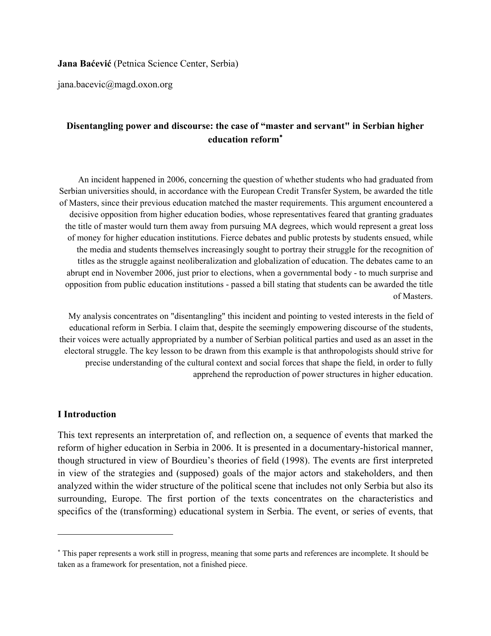#### **Jana Baćević** (Petnica Science Center, Serbia)

jana.bacevic@magd.oxon.org

## **Disentangling power and discourse: the case of "master and servant" in Serbian higher education reform**[∗](#page-0-0)

An incident happened in 2006, concerning the question of whether students who had graduated from Serbian universities should, in accordance with the European Credit Transfer System, be awarded the title of Masters, since their previous education matched the master requirements. This argument encountered a decisive opposition from higher education bodies, whose representatives feared that granting graduates the title of master would turn them away from pursuing MA degrees, which would represent a great loss of money for higher education institutions. Fierce debates and public protests by students ensued, while the media and students themselves increasingly sought to portray their struggle for the recognition of titles as the struggle against neoliberalization and globalization of education. The debates came to an abrupt end in November 2006, just prior to elections, when a governmental body - to much surprise and opposition from public education institutions - passed a bill stating that students can be awarded the title of Masters.

My analysis concentrates on "disentangling" this incident and pointing to vested interests in the field of educational reform in Serbia. I claim that, despite the seemingly empowering discourse of the students, their voices were actually appropriated by a number of Serbian political parties and used as an asset in the electoral struggle. The key lesson to be drawn from this example is that anthropologists should strive for precise understanding of the cultural context and social forces that shape the field, in order to fully apprehend the reproduction of power structures in higher education.

#### **I Introduction**

 $\overline{a}$ 

This text represents an interpretation of, and reflection on, a sequence of events that marked the reform of higher education in Serbia in 2006. It is presented in a documentary-historical manner, though structured in view of Bourdieu's theories of field (1998). The events are first interpreted in view of the strategies and (supposed) goals of the major actors and stakeholders, and then analyzed within the wider structure of the political scene that includes not only Serbia but also its surrounding, Europe. The first portion of the texts concentrates on the characteristics and specifics of the (transforming) educational system in Serbia. The event, or series of events, that

<span id="page-0-0"></span><sup>∗</sup> This paper represents a work still in progress, meaning that some parts and references are incomplete. It should be taken as a framework for presentation, not a finished piece.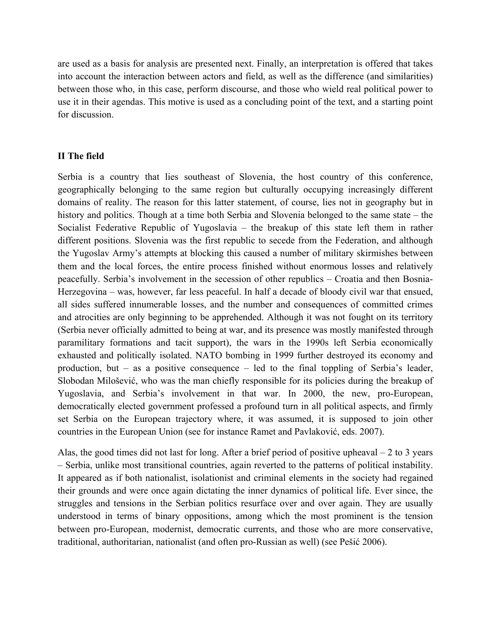are used as a basis for analysis are presented next. Finally, an interpretation is offered that takes into account the interaction between actors and field, as well as the difference (and similarities) between those who, in this case, perform discourse, and those who wield real political power to use it in their agendas. This motive is used as a concluding point of the text, and a starting point for discussion.

### **II The field**

Serbia is a country that lies southeast of Slovenia, the host country of this conference, geographically belonging to the same region but culturally occupying increasingly different domains of reality. The reason for this latter statement, of course, lies not in geography but in history and politics. Though at a time both Serbia and Slovenia belonged to the same state – the Socialist Federative Republic of Yugoslavia – the breakup of this state left them in rather different positions. Slovenia was the first republic to secede from the Federation, and although the Yugoslav Army's attempts at blocking this caused a number of military skirmishes between them and the local forces, the entire process finished without enormous losses and relatively peacefully. Serbia's involvement in the secession of other republics – Croatia and then Bosnia-Herzegovina – was, however, far less peaceful. In half a decade of bloody civil war that ensued, all sides suffered innumerable losses, and the number and consequences of committed crimes and atrocities are only beginning to be apprehended. Although it was not fought on its territory (Serbia never officially admitted to being at war, and its presence was mostly manifested through paramilitary formations and tacit support), the wars in the 1990s left Serbia economically exhausted and politically isolated. NATO bombing in 1999 further destroyed its economy and production, but – as a positive consequence – led to the final toppling of Serbia's leader, Slobodan Milošević, who was the man chiefly responsible for its policies during the breakup of Yugoslavia, and Serbia's involvement in that war. In 2000, the new, pro-European, democratically elected government professed a profound turn in all political aspects, and firmly set Serbia on the European trajectory where, it was assumed, it is supposed to join other countries in the European Union (see for instance Ramet and Pavlaković, eds. 2007).

Alas, the good times did not last for long. After a brief period of positive upheaval – 2 to 3 years – Serbia, unlike most transitional countries, again reverted to the patterns of political instability. It appeared as if both nationalist, isolationist and criminal elements in the society had regained their grounds and were once again dictating the inner dynamics of political life. Ever since, the struggles and tensions in the Serbian politics resurface over and over again. They are usually understood in terms of binary oppositions, among which the most prominent is the tension between pro-European, modernist, democratic currents, and those who are more conservative, traditional, authoritarian, nationalist (and often pro-Russian as well) (see Pešić 2006).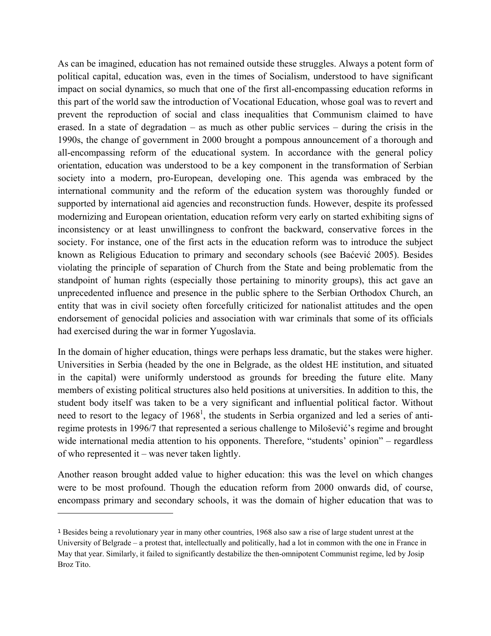As can be imagined, education has not remained outside these struggles. Always a potent form of political capital, education was, even in the times of Socialism, understood to have significant impact on social dynamics, so much that one of the first all-encompassing education reforms in this part of the world saw the introduction of Vocational Education, whose goal was to revert and prevent the reproduction of social and class inequalities that Communism claimed to have erased. In a state of degradation – as much as other public services – during the crisis in the 1990s, the change of government in 2000 brought a pompous announcement of a thorough and all-encompassing reform of the educational system. In accordance with the general policy orientation, education was understood to be a key component in the transformation of Serbian society into a modern, pro-European, developing one. This agenda was embraced by the international community and the reform of the education system was thoroughly funded or supported by international aid agencies and reconstruction funds. However, despite its professed modernizing and European orientation, education reform very early on started exhibiting signs of inconsistency or at least unwillingness to confront the backward, conservative forces in the society. For instance, one of the first acts in the education reform was to introduce the subject known as Religious Education to primary and secondary schools (see Baćević 2005). Besides violating the principle of separation of Church from the State and being problematic from the standpoint of human rights (especially those pertaining to minority groups), this act gave an unprecedented influence and presence in the public sphere to the Serbian Orthodox Church, an entity that was in civil society often forcefully criticized for nationalist attitudes and the open endorsement of genocidal policies and association with war criminals that some of its officials had exercised during the war in former Yugoslavia.

In the domain of higher education, things were perhaps less dramatic, but the stakes were higher. Universities in Serbia (headed by the one in Belgrade, as the oldest HE institution, and situated in the capital) were uniformly understood as grounds for breeding the future elite. Many members of existing political structures also held positions at universities. In addition to this, the student body itself was taken to be a very significant and influential political factor. Without need to resort to the legacy of  $1968<sup>1</sup>$  $1968<sup>1</sup>$ , the students in Serbia organized and led a series of antiregime protests in 1996/7 that represented a serious challenge to Milošević's regime and brought wide international media attention to his opponents. Therefore, "students' opinion" – regardless of who represented it – was never taken lightly.

Another reason brought added value to higher education: this was the level on which changes were to be most profound. Though the education reform from 2000 onwards did, of course, encompass primary and secondary schools, it was the domain of higher education that was to

<span id="page-2-0"></span><sup>1</sup> Besides being a revolutionary year in many other countries, 1968 also saw a rise of large student unrest at the University of Belgrade – a protest that, intellectually and politically, had a lot in common with the one in France in May that year. Similarly, it failed to significantly destabilize the then-omnipotent Communist regime, led by Josip Broz Tito.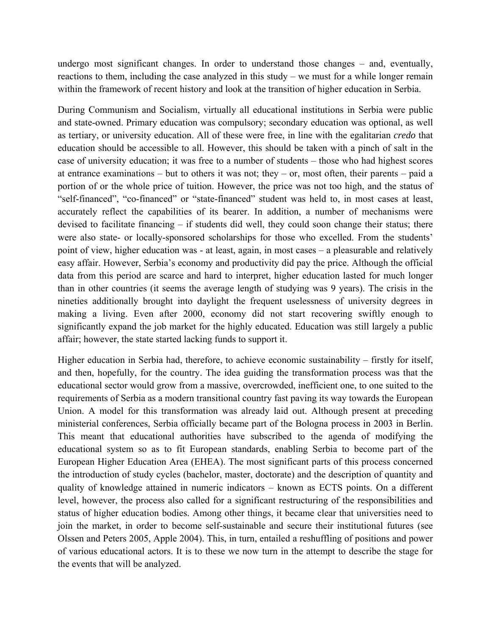undergo most significant changes. In order to understand those changes – and, eventually, reactions to them, including the case analyzed in this study – we must for a while longer remain within the framework of recent history and look at the transition of higher education in Serbia.

During Communism and Socialism, virtually all educational institutions in Serbia were public and state-owned. Primary education was compulsory; secondary education was optional, as well as tertiary, or university education. All of these were free, in line with the egalitarian *credo* that education should be accessible to all. However, this should be taken with a pinch of salt in the case of university education; it was free to a number of students – those who had highest scores at entrance examinations – but to others it was not; they – or, most often, their parents – paid a portion of or the whole price of tuition. However, the price was not too high, and the status of "self-financed", "co-financed" or "state-financed" student was held to, in most cases at least, accurately reflect the capabilities of its bearer. In addition, a number of mechanisms were devised to facilitate financing – if students did well, they could soon change their status; there were also state- or locally-sponsored scholarships for those who excelled. From the students' point of view, higher education was - at least, again, in most cases – a pleasurable and relatively easy affair. However, Serbia's economy and productivity did pay the price. Although the official data from this period are scarce and hard to interpret, higher education lasted for much longer than in other countries (it seems the average length of studying was 9 years). The crisis in the nineties additionally brought into daylight the frequent uselessness of university degrees in making a living. Even after 2000, economy did not start recovering swiftly enough to significantly expand the job market for the highly educated. Education was still largely a public affair; however, the state started lacking funds to support it.

Higher education in Serbia had, therefore, to achieve economic sustainability – firstly for itself, and then, hopefully, for the country. The idea guiding the transformation process was that the educational sector would grow from a massive, overcrowded, inefficient one, to one suited to the requirements of Serbia as a modern transitional country fast paving its way towards the European Union. A model for this transformation was already laid out. Although present at preceding ministerial conferences, Serbia officially became part of the Bologna process in 2003 in Berlin. This meant that educational authorities have subscribed to the agenda of modifying the educational system so as to fit European standards, enabling Serbia to become part of the European Higher Education Area (EHEA). The most significant parts of this process concerned the introduction of study cycles (bachelor, master, doctorate) and the description of quantity and quality of knowledge attained in numeric indicators – known as ECTS points. On a different level, however, the process also called for a significant restructuring of the responsibilities and status of higher education bodies. Among other things, it became clear that universities need to join the market, in order to become self-sustainable and secure their institutional futures (see Olssen and Peters 2005, Apple 2004). This, in turn, entailed a reshuffling of positions and power of various educational actors. It is to these we now turn in the attempt to describe the stage for the events that will be analyzed.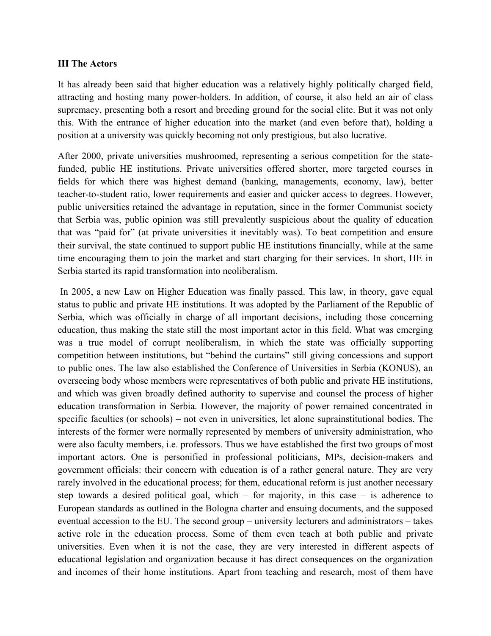### **III The Actors**

It has already been said that higher education was a relatively highly politically charged field, attracting and hosting many power-holders. In addition, of course, it also held an air of class supremacy, presenting both a resort and breeding ground for the social elite. But it was not only this. With the entrance of higher education into the market (and even before that), holding a position at a university was quickly becoming not only prestigious, but also lucrative.

After 2000, private universities mushroomed, representing a serious competition for the statefunded, public HE institutions. Private universities offered shorter, more targeted courses in fields for which there was highest demand (banking, managements, economy, law), better teacher-to-student ratio, lower requirements and easier and quicker access to degrees. However, public universities retained the advantage in reputation, since in the former Communist society that Serbia was, public opinion was still prevalently suspicious about the quality of education that was "paid for" (at private universities it inevitably was). To beat competition and ensure their survival, the state continued to support public HE institutions financially, while at the same time encouraging them to join the market and start charging for their services. In short, HE in Serbia started its rapid transformation into neoliberalism.

 In 2005, a new Law on Higher Education was finally passed. This law, in theory, gave equal status to public and private HE institutions. It was adopted by the Parliament of the Republic of Serbia, which was officially in charge of all important decisions, including those concerning education, thus making the state still the most important actor in this field. What was emerging was a true model of corrupt neoliberalism, in which the state was officially supporting competition between institutions, but "behind the curtains" still giving concessions and support to public ones. The law also established the Conference of Universities in Serbia (KONUS), an overseeing body whose members were representatives of both public and private HE institutions, and which was given broadly defined authority to supervise and counsel the process of higher education transformation in Serbia. However, the majority of power remained concentrated in specific faculties (or schools) – not even in universities, let alone suprainstitutional bodies. The interests of the former were normally represented by members of university administration, who were also faculty members, i.e. professors. Thus we have established the first two groups of most important actors. One is personified in professional politicians, MPs, decision-makers and government officials: their concern with education is of a rather general nature. They are very rarely involved in the educational process; for them, educational reform is just another necessary step towards a desired political goal, which – for majority, in this case – is adherence to European standards as outlined in the Bologna charter and ensuing documents, and the supposed eventual accession to the EU. The second group – university lecturers and administrators – takes active role in the education process. Some of them even teach at both public and private universities. Even when it is not the case, they are very interested in different aspects of educational legislation and organization because it has direct consequences on the organization and incomes of their home institutions. Apart from teaching and research, most of them have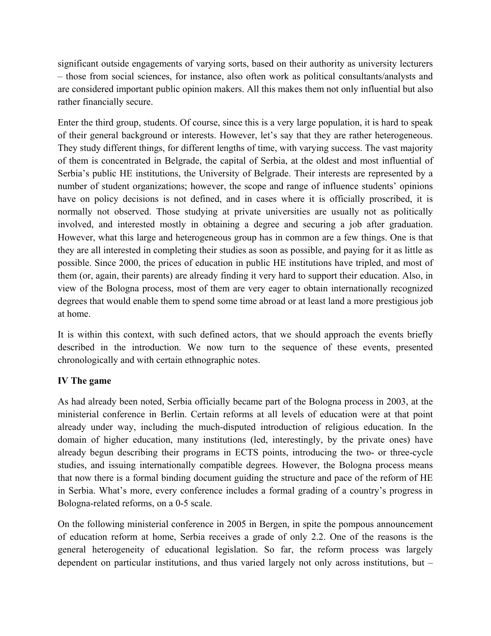significant outside engagements of varying sorts, based on their authority as university lecturers – those from social sciences, for instance, also often work as political consultants/analysts and are considered important public opinion makers. All this makes them not only influential but also rather financially secure.

Enter the third group, students. Of course, since this is a very large population, it is hard to speak of their general background or interests. However, let's say that they are rather heterogeneous. They study different things, for different lengths of time, with varying success. The vast majority of them is concentrated in Belgrade, the capital of Serbia, at the oldest and most influential of Serbia's public HE institutions, the University of Belgrade. Their interests are represented by a number of student organizations; however, the scope and range of influence students' opinions have on policy decisions is not defined, and in cases where it is officially proscribed, it is normally not observed. Those studying at private universities are usually not as politically involved, and interested mostly in obtaining a degree and securing a job after graduation. However, what this large and heterogeneous group has in common are a few things. One is that they are all interested in completing their studies as soon as possible, and paying for it as little as possible. Since 2000, the prices of education in public HE institutions have tripled, and most of them (or, again, their parents) are already finding it very hard to support their education. Also, in view of the Bologna process, most of them are very eager to obtain internationally recognized degrees that would enable them to spend some time abroad or at least land a more prestigious job at home.

It is within this context, with such defined actors, that we should approach the events briefly described in the introduction. We now turn to the sequence of these events, presented chronologically and with certain ethnographic notes.

## **IV The game**

As had already been noted, Serbia officially became part of the Bologna process in 2003, at the ministerial conference in Berlin. Certain reforms at all levels of education were at that point already under way, including the much-disputed introduction of religious education. In the domain of higher education, many institutions (led, interestingly, by the private ones) have already begun describing their programs in ECTS points, introducing the two- or three-cycle studies, and issuing internationally compatible degrees. However, the Bologna process means that now there is a formal binding document guiding the structure and pace of the reform of HE in Serbia. What's more, every conference includes a formal grading of a country's progress in Bologna-related reforms, on a 0-5 scale.

On the following ministerial conference in 2005 in Bergen, in spite the pompous announcement of education reform at home, Serbia receives a grade of only 2.2. One of the reasons is the general heterogeneity of educational legislation. So far, the reform process was largely dependent on particular institutions, and thus varied largely not only across institutions, but –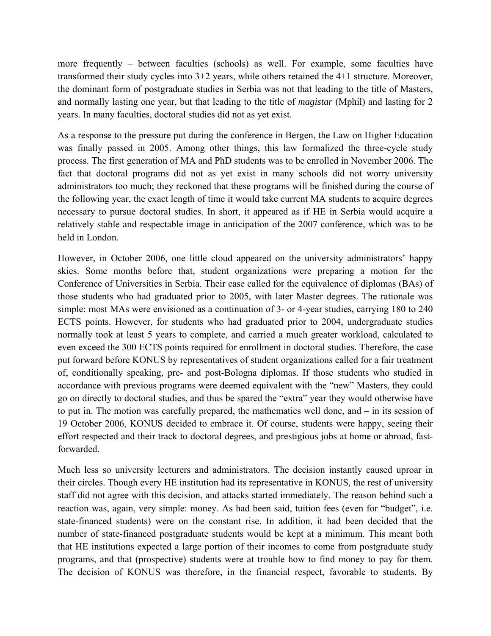more frequently – between faculties (schools) as well. For example, some faculties have transformed their study cycles into 3+2 years, while others retained the 4+1 structure. Moreover, the dominant form of postgraduate studies in Serbia was not that leading to the title of Masters, and normally lasting one year, but that leading to the title of *magistar* (Mphil) and lasting for 2 years. In many faculties, doctoral studies did not as yet exist.

As a response to the pressure put during the conference in Bergen, the Law on Higher Education was finally passed in 2005. Among other things, this law formalized the three-cycle study process. The first generation of MA and PhD students was to be enrolled in November 2006. The fact that doctoral programs did not as yet exist in many schools did not worry university administrators too much; they reckoned that these programs will be finished during the course of the following year, the exact length of time it would take current MA students to acquire degrees necessary to pursue doctoral studies. In short, it appeared as if HE in Serbia would acquire a relatively stable and respectable image in anticipation of the 2007 conference, which was to be held in London.

However, in October 2006, one little cloud appeared on the university administrators' happy skies. Some months before that, student organizations were preparing a motion for the Conference of Universities in Serbia. Their case called for the equivalence of diplomas (BAs) of those students who had graduated prior to 2005, with later Master degrees. The rationale was simple: most MAs were envisioned as a continuation of 3- or 4-year studies, carrying 180 to 240 ECTS points. However, for students who had graduated prior to 2004, undergraduate studies normally took at least 5 years to complete, and carried a much greater workload, calculated to even exceed the 300 ECTS points required for enrollment in doctoral studies. Therefore, the case put forward before KONUS by representatives of student organizations called for a fair treatment of, conditionally speaking, pre- and post-Bologna diplomas. If those students who studied in accordance with previous programs were deemed equivalent with the "new" Masters, they could go on directly to doctoral studies, and thus be spared the "extra" year they would otherwise have to put in. The motion was carefully prepared, the mathematics well done, and – in its session of 19 October 2006, KONUS decided to embrace it. Of course, students were happy, seeing their effort respected and their track to doctoral degrees, and prestigious jobs at home or abroad, fastforwarded.

Much less so university lecturers and administrators. The decision instantly caused uproar in their circles. Though every HE institution had its representative in KONUS, the rest of university staff did not agree with this decision, and attacks started immediately. The reason behind such a reaction was, again, very simple: money. As had been said, tuition fees (even for "budget", i.e. state-financed students) were on the constant rise. In addition, it had been decided that the number of state-financed postgraduate students would be kept at a minimum. This meant both that HE institutions expected a large portion of their incomes to come from postgraduate study programs, and that (prospective) students were at trouble how to find money to pay for them. The decision of KONUS was therefore, in the financial respect, favorable to students. By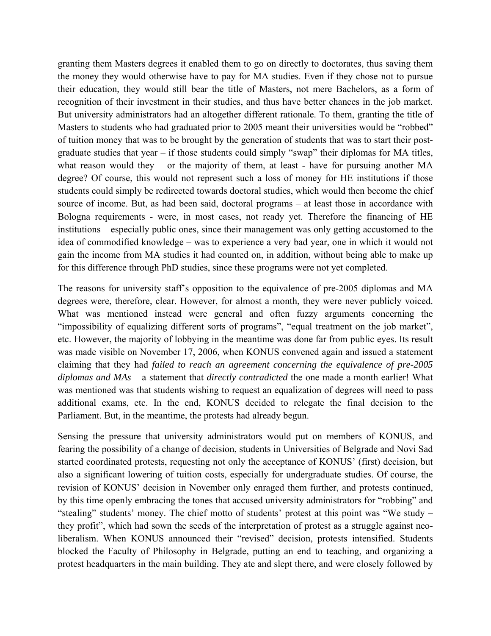granting them Masters degrees it enabled them to go on directly to doctorates, thus saving them the money they would otherwise have to pay for MA studies. Even if they chose not to pursue their education, they would still bear the title of Masters, not mere Bachelors, as a form of recognition of their investment in their studies, and thus have better chances in the job market. But university administrators had an altogether different rationale. To them, granting the title of Masters to students who had graduated prior to 2005 meant their universities would be "robbed" of tuition money that was to be brought by the generation of students that was to start their postgraduate studies that year – if those students could simply "swap" their diplomas for MA titles, what reason would they – or the majority of them, at least - have for pursuing another MA degree? Of course, this would not represent such a loss of money for HE institutions if those students could simply be redirected towards doctoral studies, which would then become the chief source of income. But, as had been said, doctoral programs – at least those in accordance with Bologna requirements - were, in most cases, not ready yet. Therefore the financing of HE institutions – especially public ones, since their management was only getting accustomed to the idea of commodified knowledge – was to experience a very bad year, one in which it would not gain the income from MA studies it had counted on, in addition, without being able to make up for this difference through PhD studies, since these programs were not yet completed.

The reasons for university staff's opposition to the equivalence of pre-2005 diplomas and MA degrees were, therefore, clear. However, for almost a month, they were never publicly voiced. What was mentioned instead were general and often fuzzy arguments concerning the "impossibility of equalizing different sorts of programs", "equal treatment on the job market", etc. However, the majority of lobbying in the meantime was done far from public eyes. Its result was made visible on November 17, 2006, when KONUS convened again and issued a statement claiming that they had *failed to reach an agreement concerning the equivalence of pre-2005 diplomas and MAs* – a statement that *directly contradicted* the one made a month earlier! What was mentioned was that students wishing to request an equalization of degrees will need to pass additional exams, etc. In the end, KONUS decided to relegate the final decision to the Parliament. But, in the meantime, the protests had already begun.

Sensing the pressure that university administrators would put on members of KONUS, and fearing the possibility of a change of decision, students in Universities of Belgrade and Novi Sad started coordinated protests, requesting not only the acceptance of KONUS' (first) decision, but also a significant lowering of tuition costs, especially for undergraduate studies. Of course, the revision of KONUS' decision in November only enraged them further, and protests continued, by this time openly embracing the tones that accused university administrators for "robbing" and "stealing" students' money. The chief motto of students' protest at this point was "We study – they profit", which had sown the seeds of the interpretation of protest as a struggle against neoliberalism. When KONUS announced their "revised" decision, protests intensified. Students blocked the Faculty of Philosophy in Belgrade, putting an end to teaching, and organizing a protest headquarters in the main building. They ate and slept there, and were closely followed by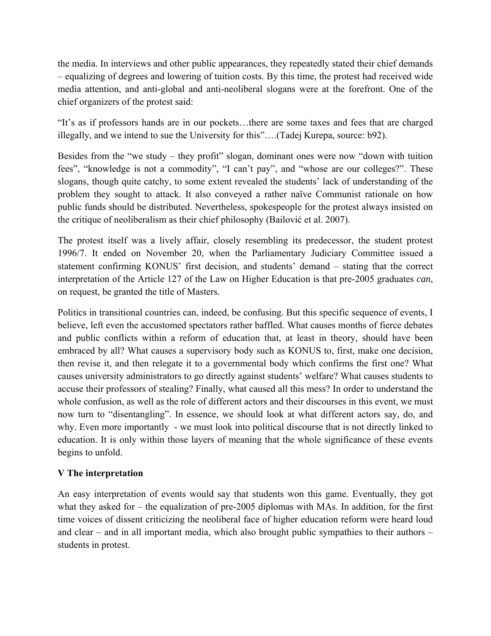the media. In interviews and other public appearances, they repeatedly stated their chief demands – equalizing of degrees and lowering of tuition costs. By this time, the protest had received wide media attention, and anti-global and anti-neoliberal slogans were at the forefront. One of the chief organizers of the protest said:

"It's as if professors hands are in our pockets…there are some taxes and fees that are charged illegally, and we intend to sue the University for this"….(Tadej Kurepa, source: b92).

Besides from the "we study – they profit" slogan, dominant ones were now "down with tuition fees", "knowledge is not a commodity", "I can't pay", and "whose are our colleges?". These slogans, though quite catchy, to some extent revealed the students' lack of understanding of the problem they sought to attack. It also conveyed a rather naïve Communist rationale on how public funds should be distributed. Nevertheless, spokespeople for the protest always insisted on the critique of neoliberalism as their chief philosophy (Bailović et al. 2007).

The protest itself was a lively affair, closely resembling its predecessor, the student protest 1996/7. It ended on November 20, when the Parliamentary Judiciary Committee issued a statement confirming KONUS' first decision, and students' demand – stating that the correct interpretation of the Article 127 of the Law on Higher Education is that pre-2005 graduates *can*, on request, be granted the title of Masters.

Politics in transitional countries can, indeed, be confusing. But this specific sequence of events, I believe, left even the accustomed spectators rather baffled. What causes months of fierce debates and public conflicts within a reform of education that, at least in theory, should have been embraced by all? What causes a supervisory body such as KONUS to, first, make one decision, then revise it, and then relegate it to a governmental body which confirms the first one? What causes university administrators to go directly against students' welfare? What causes students to accuse their professors of stealing? Finally, what caused all this mess? In order to understand the whole confusion, as well as the role of different actors and their discourses in this event, we must now turn to "disentangling". In essence, we should look at what different actors say, do, and why. Even more importantly - we must look into political discourse that is not directly linked to education. It is only within those layers of meaning that the whole significance of these events begins to unfold.

# **V The interpretation**

An easy interpretation of events would say that students won this game. Eventually, they got what they asked for – the equalization of pre-2005 diplomas with MAs. In addition, for the first time voices of dissent criticizing the neoliberal face of higher education reform were heard loud and clear – and in all important media, which also brought public sympathies to their authors – students in protest.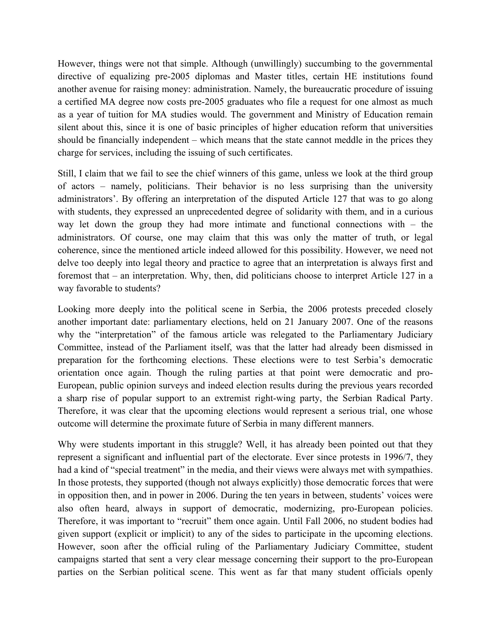However, things were not that simple. Although (unwillingly) succumbing to the governmental directive of equalizing pre-2005 diplomas and Master titles, certain HE institutions found another avenue for raising money: administration. Namely, the bureaucratic procedure of issuing a certified MA degree now costs pre-2005 graduates who file a request for one almost as much as a year of tuition for MA studies would. The government and Ministry of Education remain silent about this, since it is one of basic principles of higher education reform that universities should be financially independent – which means that the state cannot meddle in the prices they charge for services, including the issuing of such certificates.

Still, I claim that we fail to see the chief winners of this game, unless we look at the third group of actors – namely, politicians. Their behavior is no less surprising than the university administrators'. By offering an interpretation of the disputed Article 127 that was to go along with students, they expressed an unprecedented degree of solidarity with them, and in a curious way let down the group they had more intimate and functional connections with – the administrators. Of course, one may claim that this was only the matter of truth, or legal coherence, since the mentioned article indeed allowed for this possibility. However, we need not delve too deeply into legal theory and practice to agree that an interpretation is always first and foremost that – an interpretation. Why, then, did politicians choose to interpret Article 127 in a way favorable to students?

Looking more deeply into the political scene in Serbia, the 2006 protests preceded closely another important date: parliamentary elections, held on 21 January 2007. One of the reasons why the "interpretation" of the famous article was relegated to the Parliamentary Judiciary Committee, instead of the Parliament itself, was that the latter had already been dismissed in preparation for the forthcoming elections. These elections were to test Serbia's democratic orientation once again. Though the ruling parties at that point were democratic and pro-European, public opinion surveys and indeed election results during the previous years recorded a sharp rise of popular support to an extremist right-wing party, the Serbian Radical Party. Therefore, it was clear that the upcoming elections would represent a serious trial, one whose outcome will determine the proximate future of Serbia in many different manners.

Why were students important in this struggle? Well, it has already been pointed out that they represent a significant and influential part of the electorate. Ever since protests in 1996/7, they had a kind of "special treatment" in the media, and their views were always met with sympathies. In those protests, they supported (though not always explicitly) those democratic forces that were in opposition then, and in power in 2006. During the ten years in between, students' voices were also often heard, always in support of democratic, modernizing, pro-European policies. Therefore, it was important to "recruit" them once again. Until Fall 2006, no student bodies had given support (explicit or implicit) to any of the sides to participate in the upcoming elections. However, soon after the official ruling of the Parliamentary Judiciary Committee, student campaigns started that sent a very clear message concerning their support to the pro-European parties on the Serbian political scene. This went as far that many student officials openly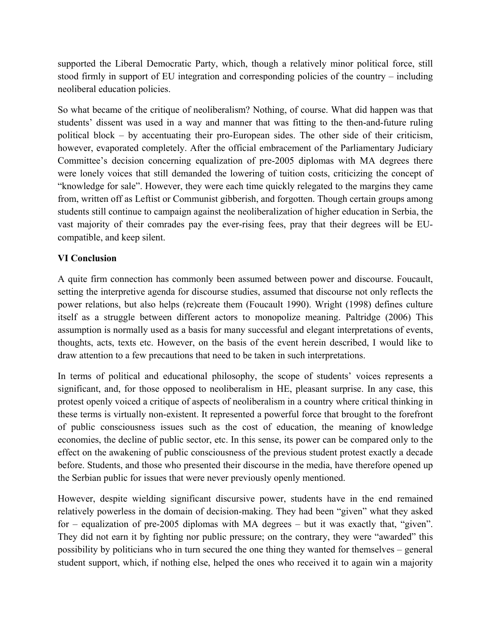supported the Liberal Democratic Party, which, though a relatively minor political force, still stood firmly in support of EU integration and corresponding policies of the country – including neoliberal education policies.

So what became of the critique of neoliberalism? Nothing, of course. What did happen was that students' dissent was used in a way and manner that was fitting to the then-and-future ruling political block – by accentuating their pro-European sides. The other side of their criticism, however, evaporated completely. After the official embracement of the Parliamentary Judiciary Committee's decision concerning equalization of pre-2005 diplomas with MA degrees there were lonely voices that still demanded the lowering of tuition costs, criticizing the concept of "knowledge for sale". However, they were each time quickly relegated to the margins they came from, written off as Leftist or Communist gibberish, and forgotten. Though certain groups among students still continue to campaign against the neoliberalization of higher education in Serbia, the vast majority of their comrades pay the ever-rising fees, pray that their degrees will be EUcompatible, and keep silent.

# **VI Conclusion**

A quite firm connection has commonly been assumed between power and discourse. Foucault, setting the interpretive agenda for discourse studies, assumed that discourse not only reflects the power relations, but also helps (re)create them (Foucault 1990). Wright (1998) defines culture itself as a struggle between different actors to monopolize meaning. Paltridge (2006) This assumption is normally used as a basis for many successful and elegant interpretations of events, thoughts, acts, texts etc. However, on the basis of the event herein described, I would like to draw attention to a few precautions that need to be taken in such interpretations.

In terms of political and educational philosophy, the scope of students' voices represents a significant, and, for those opposed to neoliberalism in HE, pleasant surprise. In any case, this protest openly voiced a critique of aspects of neoliberalism in a country where critical thinking in these terms is virtually non-existent. It represented a powerful force that brought to the forefront of public consciousness issues such as the cost of education, the meaning of knowledge economies, the decline of public sector, etc. In this sense, its power can be compared only to the effect on the awakening of public consciousness of the previous student protest exactly a decade before. Students, and those who presented their discourse in the media, have therefore opened up the Serbian public for issues that were never previously openly mentioned.

However, despite wielding significant discursive power, students have in the end remained relatively powerless in the domain of decision-making. They had been "given" what they asked for – equalization of pre-2005 diplomas with MA degrees – but it was exactly that, "given". They did not earn it by fighting nor public pressure; on the contrary, they were "awarded" this possibility by politicians who in turn secured the one thing they wanted for themselves – general student support, which, if nothing else, helped the ones who received it to again win a majority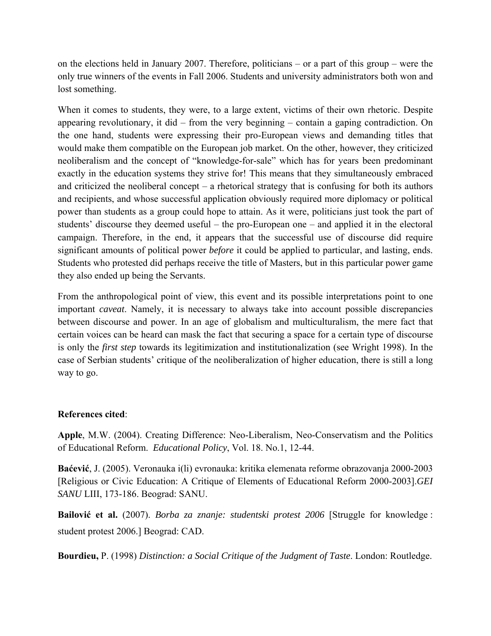on the elections held in January 2007. Therefore, politicians – or a part of this group – were the only true winners of the events in Fall 2006. Students and university administrators both won and lost something.

When it comes to students, they were, to a large extent, victims of their own rhetoric. Despite appearing revolutionary, it did – from the very beginning – contain a gaping contradiction. On the one hand, students were expressing their pro-European views and demanding titles that would make them compatible on the European job market. On the other, however, they criticized neoliberalism and the concept of "knowledge-for-sale" which has for years been predominant exactly in the education systems they strive for! This means that they simultaneously embraced and criticized the neoliberal concept – a rhetorical strategy that is confusing for both its authors and recipients, and whose successful application obviously required more diplomacy or political power than students as a group could hope to attain. As it were, politicians just took the part of students' discourse they deemed useful – the pro-European one – and applied it in the electoral campaign. Therefore, in the end, it appears that the successful use of discourse did require significant amounts of political power *before* it could be applied to particular, and lasting, ends. Students who protested did perhaps receive the title of Masters, but in this particular power game they also ended up being the Servants.

From the anthropological point of view, this event and its possible interpretations point to one important *caveat*. Namely, it is necessary to always take into account possible discrepancies between discourse and power. In an age of globalism and multiculturalism, the mere fact that certain voices can be heard can mask the fact that securing a space for a certain type of discourse is only the *first step* towards its legitimization and institutionalization (see Wright 1998). In the case of Serbian students' critique of the neoliberalization of higher education, there is still a long way to go.

## **References cited**:

**Apple**, M.W. (2004). Creating Difference: Neo-Liberalism, Neo-Conservatism and the Politics of Educational Reform. *Educational Policy*, Vol. 18. No.1, 12-44.

**Baćević**, J. (2005). Veronauka i(li) evronauka: kritika elemenata reforme obrazovanja 2000-2003 [Religious or Civic Education: A Critique of Elements of Educational Reform 2000-2003].*GEI SANU* LIII, 173-186. Beograd: SANU.

**Bailović et al.** (2007). *Borba za znanje: studentski protest 2006* [Struggle for knowledge : student protest 2006.] Beograd: CAD.

**Bourdieu,** P. (1998) *Distinction: a Social Critique of the Judgment of Taste*. London: Routledge.